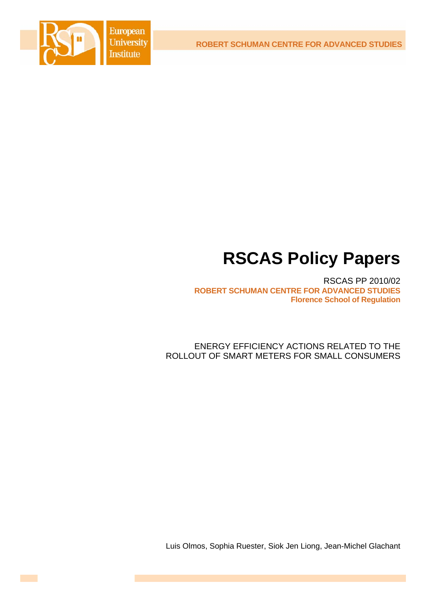**ROBERT SCHUMAN CENTRE FOR ADVANCED STUDIES**



# **RSCAS Policy Papers**

RSCAS PP 2010/02 **ROBERT SCHUMAN CENTRE FOR ADVANCED STUDIES Florence School of Regulation**

ENERGY EFFICIENCY ACTIONS RELATED TO THE ROLLOUT OF SMART METERS FOR SMALL CONSUMERS

Luis Olmos, Sophia Ruester, Siok Jen Liong, Jean-Michel Glachant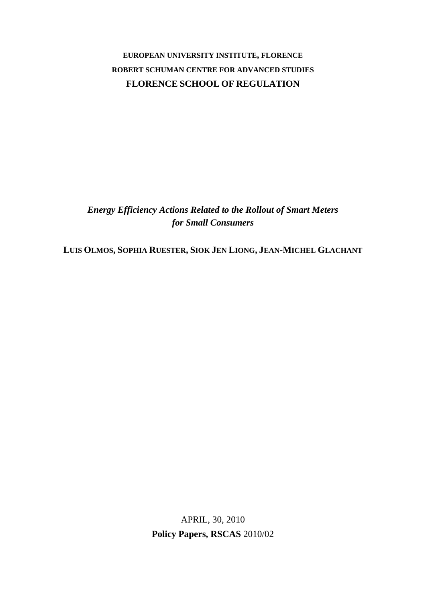# **EUROPEAN UNIVERSITY INSTITUTE, FLORENCE ROBERT SCHUMAN CENTRE FOR ADVANCED STUDIES FLORENCE SCHOOL OF REGULATION**

*Energy Efficiency Actions Related to the Rollout of Smart Meters for Small Consumers* 

**LUIS OLMOS, SOPHIA RUESTER, SIOK JEN LIONG, JEAN-MICHEL GLACHANT**

APRIL, 30, 2010 **Policy Papers, RSCAS** 2010/02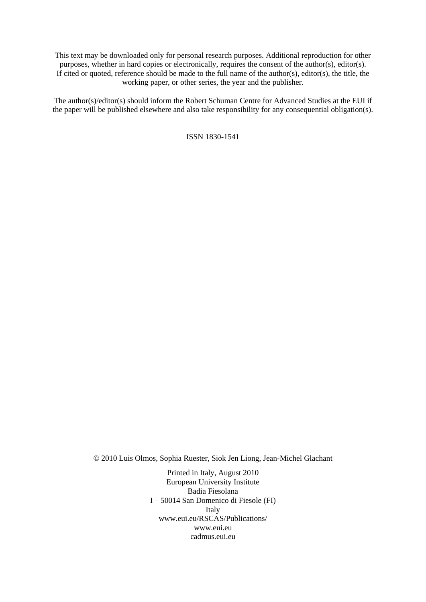This text may be downloaded only for personal research purposes. Additional reproduction for other purposes, whether in hard copies or electronically, requires the consent of the author(s), editor(s). If cited or quoted, reference should be made to the full name of the author(s), editor(s), the title, the working paper, or other series, the year and the publisher.

The author(s)/editor(s) should inform the Robert Schuman Centre for Advanced Studies at the EUI if the paper will be published elsewhere and also take responsibility for any consequential obligation(s).

ISSN 1830-1541

© 2010 Luis Olmos, Sophia Ruester, Siok Jen Liong, Jean-Michel Glachant

Printed in Italy, August 2010 European University Institute Badia Fiesolana I – 50014 San Domenico di Fiesole (FI) Italy [www.eui.eu/RSCAS/Publications/](http://www.eui.eu/RSCAS/Publications/)  [www.eui.eu](http://www.eui.eu)  cadmus.eui.eu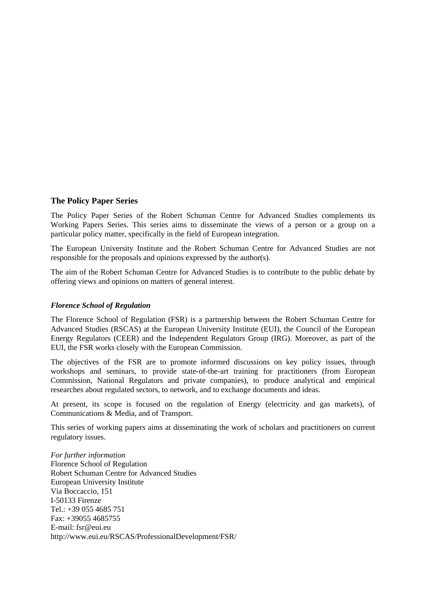#### **The Policy Paper Series**

The Policy Paper Series of the Robert Schuman Centre for Advanced Studies complements its Working Papers Series. This series aims to disseminate the views of a person or a group on a particular policy matter, specifically in the field of European integration.

The European University Institute and the Robert Schuman Centre for Advanced Studies are not responsible for the proposals and opinions expressed by the author(s).

The aim of the Robert Schuman Centre for Advanced Studies is to contribute to the public debate by offering views and opinions on matters of general interest.

#### *Florence School of Regulation*

The Florence School of Regulation (FSR) is a partnership between the Robert Schuman Centre for Advanced Studies (RSCAS) at the European University Institute (EUI), the Council of the European Energy Regulators (CEER) and the Independent Regulators Group (IRG). Moreover, as part of the EUI, the FSR works closely with the European Commission.

The objectives of the FSR are to promote informed discussions on key policy issues, through workshops and seminars, to provide state-of-the-art training for practitioners (from European Commission, National Regulators and private companies), to produce analytical and empirical researches about regulated sectors, to network, and to exchange documents and ideas.

At present, its scope is focused on the regulation of Energy (electricity and gas markets), of Communications & Media, and of Transport.

This series of working papers aims at disseminating the work of scholars and practitioners on current regulatory issues.

*For further information*  Florence School of Regulation Robert Schuman Centre for Advanced Studies European University Institute Via Boccaccio, 151 I-50133 Firenze Tel.: +39 055 4685 751 Fax: +39055 4685755 E-mail: [fsr@eui.eu](mailto:fsr@eui.eu)  <http://www.eui.eu/RSCAS/ProfessionalDevelopment/FSR/>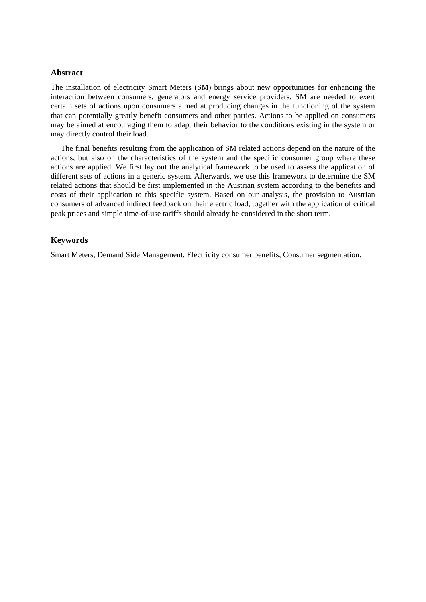#### **Abstract**

The installation of electricity Smart Meters (SM) brings about new opportunities for enhancing the interaction between consumers, generators and energy service providers. SM are needed to exert certain sets of actions upon consumers aimed at producing changes in the functioning of the system that can potentially greatly benefit consumers and other parties. Actions to be applied on consumers may be aimed at encouraging them to adapt their behavior to the conditions existing in the system or may directly control their load.

The final benefits resulting from the application of SM related actions depend on the nature of the actions, but also on the characteristics of the system and the specific consumer group where these actions are applied. We first lay out the analytical framework to be used to assess the application of different sets of actions in a generic system. Afterwards, we use this framework to determine the SM related actions that should be first implemented in the Austrian system according to the benefits and costs of their application to this specific system. Based on our analysis, the provision to Austrian consumers of advanced indirect feedback on their electric load, together with the application of critical peak prices and simple time-of-use tariffs should already be considered in the short term.

# **Keywords**

Smart Meters, Demand Side Management, Electricity consumer benefits, Consumer segmentation.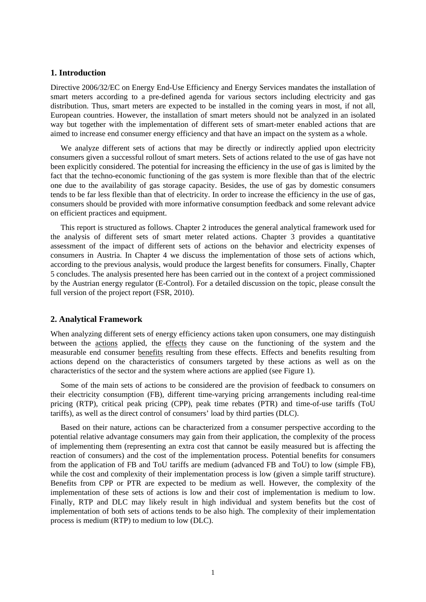#### **1. Introduction**

Directive 2006/32/EC on Energy End-Use Efficiency and Energy Services mandates the installation of smart meters according to a pre-defined agenda for various sectors including electricity and gas distribution. Thus, smart meters are expected to be installed in the coming years in most, if not all, European countries. However, the installation of smart meters should not be analyzed in an isolated way but together with the implementation of different sets of smart-meter enabled actions that are aimed to increase end consumer energy efficiency and that have an impact on the system as a whole.

We analyze different sets of actions that may be directly or indirectly applied upon electricity consumers given a successful rollout of smart meters. Sets of actions related to the use of gas have not been explicitly considered. The potential for increasing the efficiency in the use of gas is limited by the fact that the techno-economic functioning of the gas system is more flexible than that of the electric one due to the availability of gas storage capacity. Besides, the use of gas by domestic consumers tends to be far less flexible than that of electricity. In order to increase the efficiency in the use of gas, consumers should be provided with more informative consumption feedback and some relevant advice on efficient practices and equipment.

This report is structured as follows. Chapter 2 introduces the general analytical framework used for the analysis of different sets of smart meter related actions. Chapter 3 provides a quantitative assessment of the impact of different sets of actions on the behavior and electricity expenses of consumers in Austria. In Chapter 4 we discuss the implementation of those sets of actions which, according to the previous analysis, would produce the largest benefits for consumers. Finally, Chapter 5 concludes. The analysis presented here has been carried out in the context of a project commissioned by the Austrian energy regulator (E-Control). For a detailed discussion on the topic, please consult the full version of the project report (FSR, 2010).

#### **2. Analytical Framework**

When analyzing different sets of energy efficiency actions taken upon consumers, one may distinguish between the actions applied, the effects they cause on the functioning of the system and the measurable end consumer benefits resulting from these effects. Effects and benefits resulting from actions depend on the characteristics of consumers targeted by these actions as well as on the characteristics of the sector and the system where actions are applied (see Figure 1).

Some of the main sets of actions to be considered are the provision of feedback to consumers on their electricity consumption (FB), different time-varying pricing arrangements including real-time pricing (RTP), critical peak pricing (CPP), peak time rebates (PTR) and time-of-use tariffs (ToU tariffs), as well as the direct control of consumers' load by third parties (DLC).

Based on their nature, actions can be characterized from a consumer perspective according to the potential relative advantage consumers may gain from their application, the complexity of the process of implementing them (representing an extra cost that cannot be easily measured but is affecting the reaction of consumers) and the cost of the implementation process. Potential benefits for consumers from the application of FB and ToU tariffs are medium (advanced FB and ToU) to low (simple FB), while the cost and complexity of their implementation process is low (given a simple tariff structure). Benefits from CPP or PTR are expected to be medium as well. However, the complexity of the implementation of these sets of actions is low and their cost of implementation is medium to low. Finally, RTP and DLC may likely result in high individual and system benefits but the cost of implementation of both sets of actions tends to be also high. The complexity of their implementation process is medium (RTP) to medium to low (DLC).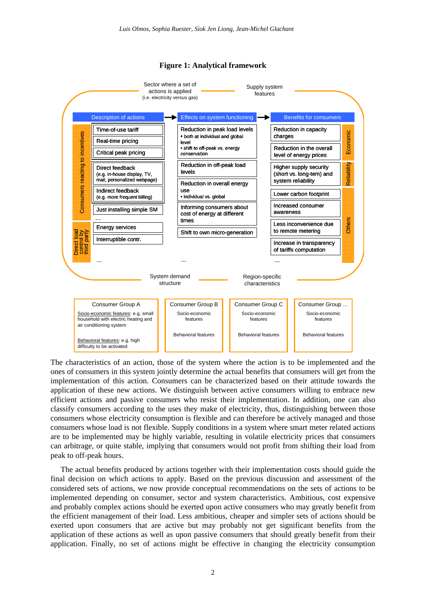#### **Figure 1: Analytical framework**



The characteristics of an action, those of the system where the action is to be implemented and the ones of consumers in this system jointly determine the actual benefits that consumers will get from the implementation of this action. Consumers can be characterized based on their attitude towards the application of these new actions. We distinguish between active consumers willing to embrace new efficient actions and passive consumers who resist their implementation. In addition, one can also classify consumers according to the uses they make of electricity, thus, distinguishing between those consumers whose electricity consumption is flexible and can therefore be actively managed and those consumers whose load is not flexible. Supply conditions in a system where smart meter related actions are to be implemented may be highly variable, resulting in volatile electricity prices that consumers can arbitrage, or quite stable, implying that consumers would not profit from shifting their load from peak to off-peak hours.

The actual benefits produced by actions together with their implementation costs should guide the final decision on which actions to apply. Based on the previous discussion and assessment of the considered sets of actions, we now provide conceptual recommendations on the sets of actions to be implemented depending on consumer, sector and system characteristics. Ambitious, cost expensive and probably complex actions should be exerted upon active consumers who may greatly benefit from the efficient management of their load. Less ambitious, cheaper and simpler sets of actions should be exerted upon consumers that are active but may probably not get significant benefits from the application of these actions as well as upon passive consumers that should greatly benefit from their application. Finally, no set of actions might be effective in changing the electricity consumption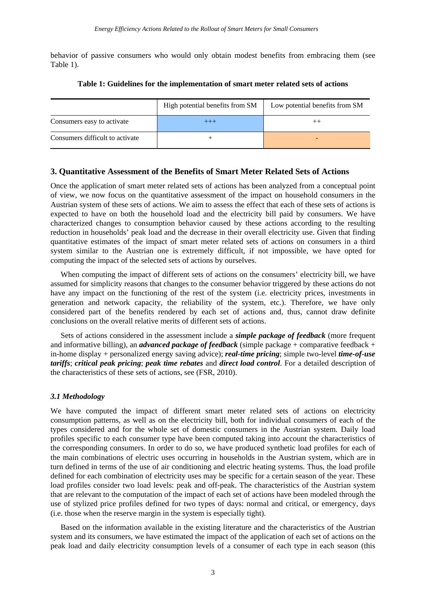behavior of passive consumers who would only obtain modest benefits from embracing them (see Table 1).

|                                 | High potential benefits from SM | Low potential benefits from SM |  |
|---------------------------------|---------------------------------|--------------------------------|--|
| Consumers easy to activate      |                                 |                                |  |
| Consumers difficult to activate |                                 |                                |  |

#### **Table 1: Guidelines for the implementation of smart meter related sets of actions**

#### **3. Quantitative Assessment of the Benefits of Smart Meter Related Sets of Actions**

Once the application of smart meter related sets of actions has been analyzed from a conceptual point of view, we now focus on the quantitative assessment of the impact on household consumers in the Austrian system of these sets of actions. We aim to assess the effect that each of these sets of actions is expected to have on both the household load and the electricity bill paid by consumers. We have characterized changes to consumption behavior caused by these actions according to the resulting reduction in households' peak load and the decrease in their overall electricity use. Given that finding quantitative estimates of the impact of smart meter related sets of actions on consumers in a third system similar to the Austrian one is extremely difficult, if not impossible, we have opted for computing the impact of the selected sets of actions by ourselves.

When computing the impact of different sets of actions on the consumers' electricity bill, we have assumed for simplicity reasons that changes to the consumer behavior triggered by these actions do not have any impact on the functioning of the rest of the system (i.e. electricity prices, investments in generation and network capacity, the reliability of the system, etc.). Therefore, we have only considered part of the benefits rendered by each set of actions and, thus, cannot draw definite conclusions on the overall relative merits of different sets of actions.

Sets of actions considered in the assessment include a *simple package of feedback* (more frequent and informative billing), an *advanced package of feedback* (simple package + comparative feedback + in-home display + personalized energy saving advice); *real-time pricing*; simple two-level *time-of-use tariffs*; *critical peak pricing*; *peak time rebates* and *direct load control*. For a detailed description of the characteristics of these sets of actions, see (FSR, 2010).

#### *3.1 Methodology*

We have computed the impact of different smart meter related sets of actions on electricity consumption patterns, as well as on the electricity bill, both for individual consumers of each of the types considered and for the whole set of domestic consumers in the Austrian system. Daily load profiles specific to each consumer type have been computed taking into account the characteristics of the corresponding consumers. In order to do so, we have produced synthetic load profiles for each of the main combinations of electric uses occurring in households in the Austrian system, which are in turn defined in terms of the use of air conditioning and electric heating systems. Thus, the load profile defined for each combination of electricity uses may be specific for a certain season of the year. These load profiles consider two load levels: peak and off-peak. The characteristics of the Austrian system that are relevant to the computation of the impact of each set of actions have been modeled through the use of stylized price profiles defined for two types of days: normal and critical, or emergency, days (i.e. those when the reserve margin in the system is especially tight).

Based on the information available in the existing literature and the characteristics of the Austrian system and its consumers, we have estimated the impact of the application of each set of actions on the peak load and daily electricity consumption levels of a consumer of each type in each season (this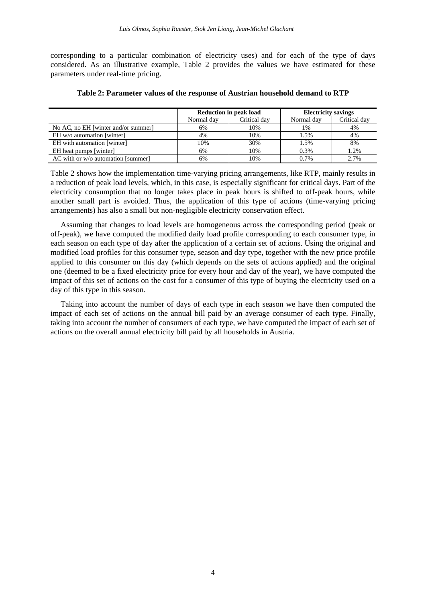corresponding to a particular combination of electricity uses) and for each of the type of days considered. As an illustrative example, Table 2 provides the values we have estimated for these parameters under real-time pricing.

|                                     | <b>Reduction in peak load</b> |              | <b>Electricity savings</b> |              |
|-------------------------------------|-------------------------------|--------------|----------------------------|--------------|
|                                     | Normal day                    | Critical day | Normal day                 | Critical day |
| No AC, no EH [winter and/or summer] | 6%                            | 10%          | 1%                         | 4%           |
| EH w/o automation [winter]          | 4%                            | 10%          | 1.5%                       | 4%           |
| EH with automation [winter]         | 10%                           | 30%          | 1.5%                       | 8%           |
| EH heat pumps [winter]              | 6%                            | 10%          | 0.3%                       | 1.2%         |
| AC with or w/o automation [summer]  | 6%                            | 10%          | 0.7%                       | 2.7%         |

**Table 2: Parameter values of the response of Austrian household demand to RTP** 

Table 2 shows how the implementation time-varying pricing arrangements, like RTP, mainly results in a reduction of peak load levels, which, in this case, is especially significant for critical days. Part of the electricity consumption that no longer takes place in peak hours is shifted to off-peak hours, while another small part is avoided. Thus, the application of this type of actions (time-varying pricing arrangements) has also a small but non-negligible electricity conservation effect.

Assuming that changes to load levels are homogeneous across the corresponding period (peak or off-peak), we have computed the modified daily load profile corresponding to each consumer type, in each season on each type of day after the application of a certain set of actions. Using the original and modified load profiles for this consumer type, season and day type, together with the new price profile applied to this consumer on this day (which depends on the sets of actions applied) and the original one (deemed to be a fixed electricity price for every hour and day of the year), we have computed the impact of this set of actions on the cost for a consumer of this type of buying the electricity used on a day of this type in this season.

Taking into account the number of days of each type in each season we have then computed the impact of each set of actions on the annual bill paid by an average consumer of each type. Finally, taking into account the number of consumers of each type, we have computed the impact of each set of actions on the overall annual electricity bill paid by all households in Austria.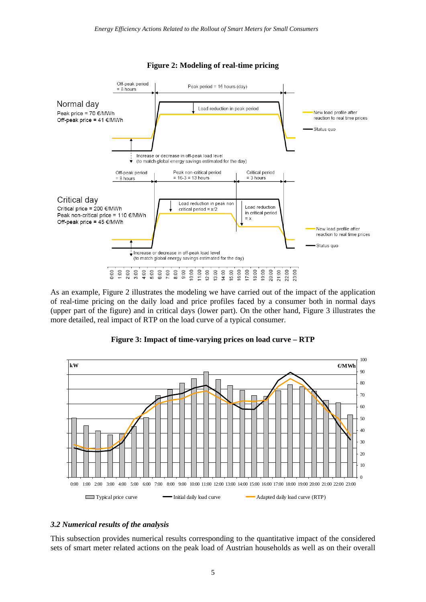

**Figure 2: Modeling of real-time pricing** 

As an example, Figure 2 illustrates the modeling we have carried out of the impact of the application of real-time pricing on the daily load and price profiles faced by a consumer both in normal days (upper part of the figure) and in critical days (lower part). On the other hand, Figure 3 illustrates the more detailed, real impact of RTP on the load curve of a typical consumer.





#### *3.2 Numerical results of the analysis*

This subsection provides numerical results corresponding to the quantitative impact of the considered sets of smart meter related actions on the peak load of Austrian households as well as on their overall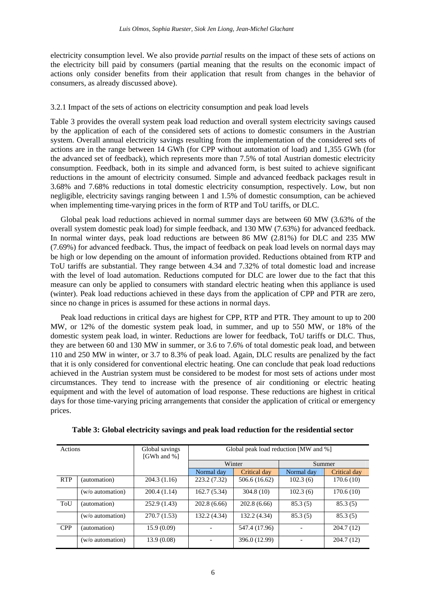electricity consumption level. We also provide *partial* results on the impact of these sets of actions on the electricity bill paid by consumers (partial meaning that the results on the economic impact of actions only consider benefits from their application that result from changes in the behavior of consumers, as already discussed above).

#### 3.2.1 Impact of the sets of actions on electricity consumption and peak load levels

Table 3 provides the overall system peak load reduction and overall system electricity savings caused by the application of each of the considered sets of actions to domestic consumers in the Austrian system. Overall annual electricity savings resulting from the implementation of the considered sets of actions are in the range between 14 GWh (for CPP without automation of load) and 1,355 GWh (for the advanced set of feedback), which represents more than 7.5% of total Austrian domestic electricity consumption. Feedback, both in its simple and advanced form, is best suited to achieve significant reductions in the amount of electricity consumed. Simple and advanced feedback packages result in 3.68% and 7.68% reductions in total domestic electricity consumption, respectively. Low, but non negligible, electricity savings ranging between 1 and 1.5% of domestic consumption, can be achieved when implementing time-varying prices in the form of RTP and ToU tariffs, or DLC.

Global peak load reductions achieved in normal summer days are between 60 MW (3.63% of the overall system domestic peak load) for simple feedback, and 130 MW (7.63%) for advanced feedback. In normal winter days, peak load reductions are between 86 MW (2.81%) for DLC and 235 MW (7.69%) for advanced feedback. Thus, the impact of feedback on peak load levels on normal days may be high or low depending on the amount of information provided. Reductions obtained from RTP and ToU tariffs are substantial. They range between 4.34 and 7.32% of total domestic load and increase with the level of load automation. Reductions computed for DLC are lower due to the fact that this measure can only be applied to consumers with standard electric heating when this appliance is used (winter). Peak load reductions achieved in these days from the application of CPP and PTR are zero, since no change in prices is assumed for these actions in normal days.

Peak load reductions in critical days are highest for CPP, RTP and PTR. They amount to up to 200 MW, or 12% of the domestic system peak load, in summer, and up to 550 MW, or 18% of the domestic system peak load, in winter. Reductions are lower for feedback, ToU tariffs or DLC. Thus, they are between 60 and 130 MW in summer, or 3.6 to 7.6% of total domestic peak load, and between 110 and 250 MW in winter, or 3.7 to 8.3% of peak load. Again, DLC results are penalized by the fact that it is only considered for conventional electric heating. One can conclude that peak load reductions achieved in the Austrian system must be considered to be modest for most sets of actions under most circumstances. They tend to increase with the presence of air conditioning or electric heating equipment and with the level of automation of load response. These reductions are highest in critical days for those time-varying pricing arrangements that consider the application of critical or emergency prices.

| Actions    |                  | Global savings<br>[GWh and %] | Global peak load reduction [MW and %] |               |            |              |
|------------|------------------|-------------------------------|---------------------------------------|---------------|------------|--------------|
|            |                  |                               | Winter                                |               | Summer     |              |
|            |                  |                               | Normal day                            | Critical day  | Normal day | Critical day |
| <b>RTP</b> | (automation)     | 204.3(1.16)                   | 223.2(7.32)                           | 506.6 (16.62) | 102.3(6)   | 170.6(10)    |
|            | (w/o automation) | 200.4 (1.14)                  | 162.7(5.34)                           | 304.8(10)     | 102.3(6)   | 170.6(10)    |
| ToU        | (automation)     | 252.9 (1.43)                  | 202.8(6.66)                           | 202.8(6.66)   | 85.3(5)    | 85.3(5)      |
|            | (w/o automation) | 270.7 (1.53)                  | 132.2 (4.34)                          | 132.2 (4.34)  | 85.3(5)    | 85.3(5)      |
| <b>CPP</b> | (automation)     | 15.9(0.09)                    |                                       | 547.4 (17.96) |            | 204.7(12)    |
|            | (w/o automation) | 13.9(0.08)                    |                                       | 396.0 (12.99) |            | 204.7(12)    |

**Table 3: Global electricity savings and peak load reduction for the residential sector**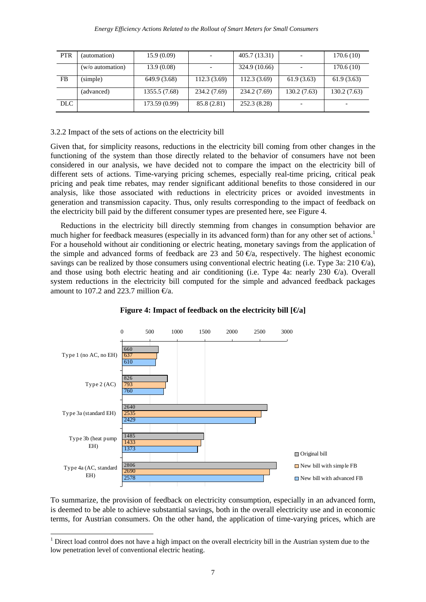| <b>PTR</b> | (automation)     | 15.9(0.09)    |              | 405.7 (13.31) |              | 170.6(10)   |
|------------|------------------|---------------|--------------|---------------|--------------|-------------|
|            | (w/o automation) | 13.9(0.08)    |              | 324.9 (10.66) |              | 170.6(10)   |
| FB         | (simple)         | 649.9 (3.68)  | 112.3(3.69)  | 112.3(3.69)   | 61.9(3.63)   | 61.9(3.63)  |
|            | (advanced)       | 1355.5 (7.68) | 234.2 (7.69) | 234.2 (7.69)  | 130.2 (7.63) | 130.2(7.63) |
| <b>DLC</b> |                  | 173.59 (0.99) | 85.8 (2.81)  | 252.3 (8.28)  |              |             |

3.2.2 Impact of the sets of actions on the electricity bill

Given that, for simplicity reasons, reductions in the electricity bill coming from other changes in the functioning of the system than those directly related to the behavior of consumers have not been considered in our analysis, we have decided not to compare the impact on the electricity bill of different sets of actions. Time-varying pricing schemes, especially real-time pricing, critical peak pricing and peak time rebates, may render significant additional benefits to those considered in our analysis, like those associated with reductions in electricity prices or avoided investments in generation and transmission capacity. Thus, only results corresponding to the impact of feedback on the electricity bill paid by the different consumer types are presented here, see Figure 4.

Reductions in the electricity bill directly stemming from changes in consumption behavior are much higher for feedback measures (especially in its advanced form) than for any other set of actions.<sup>1</sup> For a household without air conditioning or electric heating, monetary savings from the application of the simple and advanced forms of feedback are 23 and 50  $\Theta$ a, respectively. The highest economic savings can be realized by those consumers using conventional electric heating (i.e. Type 3a: 210  $\Theta$ a), and those using both electric heating and air conditioning (i.e. Type 4a: nearly 230  $\oplus$ a). Overall system reductions in the electricity bill computed for the simple and advanced feedback packages amount to 107.2 and 223.7 million  $\Theta$ a.



# **Figure 4: Impact of feedback on the electricity bill [€a]**

To summarize, the provision of feedback on electricity consumption, especially in an advanced form, is deemed to be able to achieve substantial savings, both in the overall electricity use and in economic terms, for Austrian consumers. On the other hand, the application of time-varying prices, which are

l

 $1$  Direct load control does not have a high impact on the overall electricity bill in the Austrian system due to the low penetration level of conventional electric heating.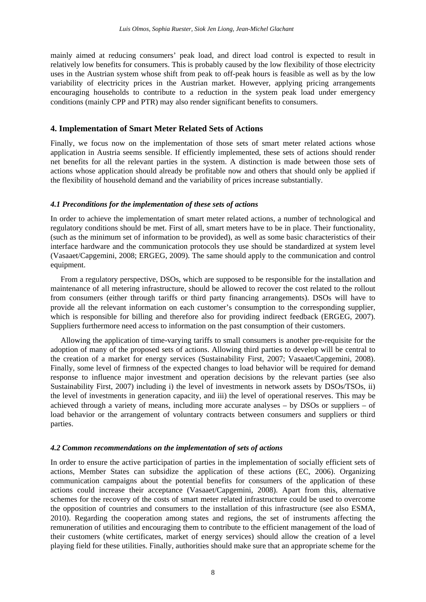mainly aimed at reducing consumers' peak load, and direct load control is expected to result in relatively low benefits for consumers. This is probably caused by the low flexibility of those electricity uses in the Austrian system whose shift from peak to off-peak hours is feasible as well as by the low variability of electricity prices in the Austrian market. However, applying pricing arrangements encouraging households to contribute to a reduction in the system peak load under emergency conditions (mainly CPP and PTR) may also render significant benefits to consumers.

# **4. Implementation of Smart Meter Related Sets of Actions**

Finally, we focus now on the implementation of those sets of smart meter related actions whose application in Austria seems sensible. If efficiently implemented, these sets of actions should render net benefits for all the relevant parties in the system. A distinction is made between those sets of actions whose application should already be profitable now and others that should only be applied if the flexibility of household demand and the variability of prices increase substantially.

#### *4.1 Preconditions for the implementation of these sets of actions*

In order to achieve the implementation of smart meter related actions, a number of technological and regulatory conditions should be met. First of all, smart meters have to be in place. Their functionality, (such as the minimum set of information to be provided), as well as some basic characteristics of their interface hardware and the communication protocols they use should be standardized at system level (Vasaaet/Capgemini, 2008; ERGEG, 2009). The same should apply to the communication and control equipment.

From a regulatory perspective, DSOs, which are supposed to be responsible for the installation and maintenance of all metering infrastructure, should be allowed to recover the cost related to the rollout from consumers (either through tariffs or third party financing arrangements). DSOs will have to provide all the relevant information on each customer's consumption to the corresponding supplier, which is responsible for billing and therefore also for providing indirect feedback (ERGEG, 2007). Suppliers furthermore need access to information on the past consumption of their customers.

Allowing the application of time-varying tariffs to small consumers is another pre-requisite for the adoption of many of the proposed sets of actions. Allowing third parties to develop will be central to the creation of a market for energy services (Sustainability First, 2007; Vasaaet/Capgemini, 2008). Finally, some level of firmness of the expected changes to load behavior will be required for demand response to influence major investment and operation decisions by the relevant parties (see also Sustainability First, 2007) including i) the level of investments in network assets by DSOs/TSOs, ii) the level of investments in generation capacity, and iii) the level of operational reserves. This may be achieved through a variety of means, including more accurate analyses – by DSOs or suppliers – of load behavior or the arrangement of voluntary contracts between consumers and suppliers or third parties.

#### *4.2 Common recommendations on the implementation of sets of actions*

In order to ensure the active participation of parties in the implementation of socially efficient sets of actions, Member States can subsidize the application of these actions (EC, 2006). Organizing communication campaigns about the potential benefits for consumers of the application of these actions could increase their acceptance (Vasaaet/Capgemini, 2008). Apart from this, alternative schemes for the recovery of the costs of smart meter related infrastructure could be used to overcome the opposition of countries and consumers to the installation of this infrastructure (see also ESMA, 2010). Regarding the cooperation among states and regions, the set of instruments affecting the remuneration of utilities and encouraging them to contribute to the efficient management of the load of their customers (white certificates, market of energy services) should allow the creation of a level playing field for these utilities. Finally, authorities should make sure that an appropriate scheme for the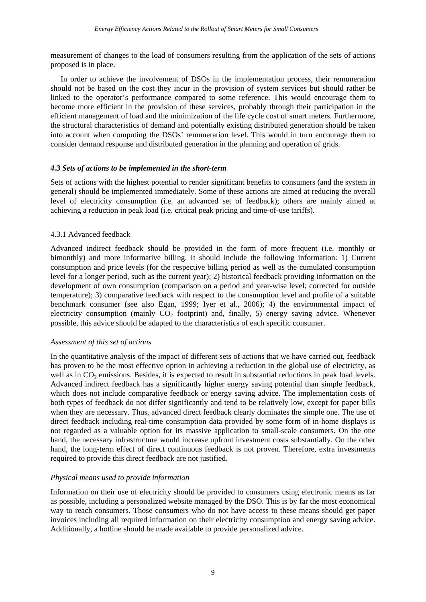measurement of changes to the load of consumers resulting from the application of the sets of actions proposed is in place.

In order to achieve the involvement of DSOs in the implementation process, their remuneration should not be based on the cost they incur in the provision of system services but should rather be linked to the operator's performance compared to some reference. This would encourage them to become more efficient in the provision of these services, probably through their participation in the efficient management of load and the minimization of the life cycle cost of smart meters. Furthermore, the structural characteristics of demand and potentially existing distributed generation should be taken into account when computing the DSOs' remuneration level. This would in turn encourage them to consider demand response and distributed generation in the planning and operation of grids.

#### *4.3 Sets of actions to be implemented in the short-term*

Sets of actions with the highest potential to render significant benefits to consumers (and the system in general) should be implemented immediately. Some of these actions are aimed at reducing the overall level of electricity consumption (i.e. an advanced set of feedback); others are mainly aimed at achieving a reduction in peak load (i.e. critical peak pricing and time-of-use tariffs).

#### 4.3.1 Advanced feedback

Advanced indirect feedback should be provided in the form of more frequent (i.e. monthly or bimonthly) and more informative billing. It should include the following information: 1) Current consumption and price levels (for the respective billing period as well as the cumulated consumption level for a longer period, such as the current year); 2) historical feedback providing information on the development of own consumption (comparison on a period and year-wise level; corrected for outside temperature); 3) comparative feedback with respect to the consumption level and profile of a suitable benchmark consumer (see also Egan, 1999; Iyer et al., 2006); 4) the environmental impact of electricity consumption (mainly  $CO<sub>2</sub>$  footprint) and, finally, 5) energy saving advice. Whenever possible, this advice should be adapted to the characteristics of each specific consumer.

# *Assessment of this set of actions*

In the quantitative analysis of the impact of different sets of actions that we have carried out, feedback has proven to be the most effective option in achieving a reduction in the global use of electricity, as well as in  $CO<sub>2</sub>$  emissions. Besides, it is expected to result in substantial reductions in peak load levels. Advanced indirect feedback has a significantly higher energy saving potential than simple feedback, which does not include comparative feedback or energy saving advice. The implementation costs of both types of feedback do not differ significantly and tend to be relatively low, except for paper bills when they are necessary. Thus, advanced direct feedback clearly dominates the simple one. The use of direct feedback including real-time consumption data provided by some form of in-home displays is not regarded as a valuable option for its massive application to small-scale consumers. On the one hand, the necessary infrastructure would increase upfront investment costs substantially. On the other hand, the long-term effect of direct continuous feedback is not proven. Therefore, extra investments required to provide this direct feedback are not justified.

#### *Physical means used to provide information*

Information on their use of electricity should be provided to consumers using electronic means as far as possible, including a personalized website managed by the DSO. This is by far the most economical way to reach consumers. Those consumers who do not have access to these means should get paper invoices including all required information on their electricity consumption and energy saving advice. Additionally, a hotline should be made available to provide personalized advice.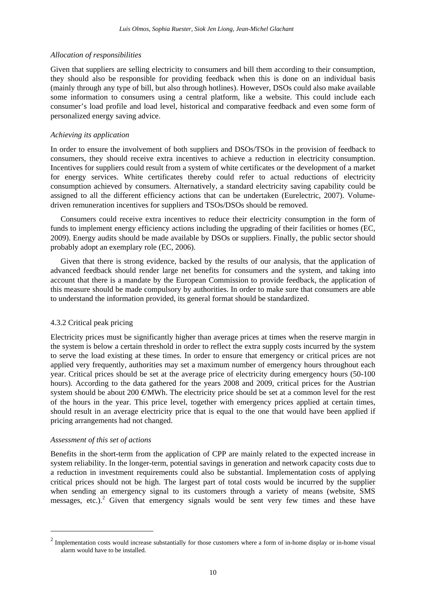#### *Allocation of responsibilities*

Given that suppliers are selling electricity to consumers and bill them according to their consumption, they should also be responsible for providing feedback when this is done on an individual basis (mainly through any type of bill, but also through hotlines). However, DSOs could also make available some information to consumers using a central platform, like a website. This could include each consumer's load profile and load level, historical and comparative feedback and even some form of personalized energy saving advice.

#### *Achieving its application*

In order to ensure the involvement of both suppliers and DSOs/TSOs in the provision of feedback to consumers, they should receive extra incentives to achieve a reduction in electricity consumption. Incentives for suppliers could result from a system of white certificates or the development of a market for energy services. White certificates thereby could refer to actual reductions of electricity consumption achieved by consumers. Alternatively, a standard electricity saving capability could be assigned to all the different efficiency actions that can be undertaken (Eurelectric, 2007). Volumedriven remuneration incentives for suppliers and TSOs/DSOs should be removed.

Consumers could receive extra incentives to reduce their electricity consumption in the form of funds to implement energy efficiency actions including the upgrading of their facilities or homes (EC, 2009). Energy audits should be made available by DSOs or suppliers. Finally, the public sector should probably adopt an exemplary role (EC, 2006).

Given that there is strong evidence, backed by the results of our analysis, that the application of advanced feedback should render large net benefits for consumers and the system, and taking into account that there is a mandate by the European Commission to provide feedback, the application of this measure should be made compulsory by authorities. In order to make sure that consumers are able to understand the information provided, its general format should be standardized.

#### 4.3.2 Critical peak pricing

Electricity prices must be significantly higher than average prices at times when the reserve margin in the system is below a certain threshold in order to reflect the extra supply costs incurred by the system to serve the load existing at these times. In order to ensure that emergency or critical prices are not applied very frequently, authorities may set a maximum number of emergency hours throughout each year. Critical prices should be set at the average price of electricity during emergency hours (50-100 hours). According to the data gathered for the years 2008 and 2009, critical prices for the Austrian system should be about 200  $\epsilon$ MWh. The electricity price should be set at a common level for the rest of the hours in the year. This price level, together with emergency prices applied at certain times, should result in an average electricity price that is equal to the one that would have been applied if pricing arrangements had not changed.

#### *Assessment of this set of actions*

 $\overline{\phantom{a}}$ 

Benefits in the short-term from the application of CPP are mainly related to the expected increase in system reliability. In the longer-term, potential savings in generation and network capacity costs due to a reduction in investment requirements could also be substantial. Implementation costs of applying critical prices should not be high. The largest part of total costs would be incurred by the supplier when sending an emergency signal to its customers through a variety of means (website, SMS messages, etc.).<sup>2</sup> Given that emergency signals would be sent very few times and these have

 $2$  Implementation costs would increase substantially for those customers where a form of in-home display or in-home visual alarm would have to be installed.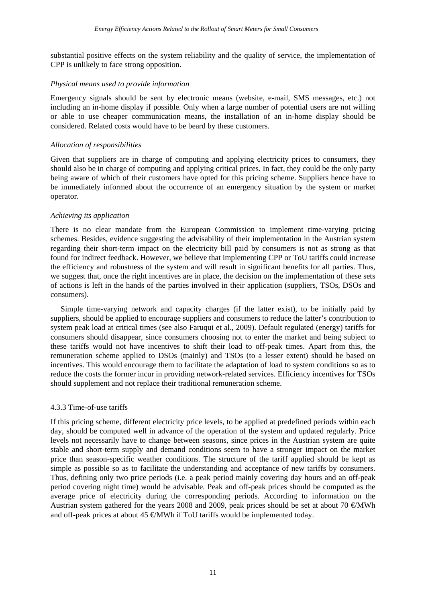substantial positive effects on the system reliability and the quality of service, the implementation of CPP is unlikely to face strong opposition.

#### *Physical means used to provide information*

Emergency signals should be sent by electronic means (website, e-mail, SMS messages, etc.) not including an in-home display if possible. Only when a large number of potential users are not willing or able to use cheaper communication means, the installation of an in-home display should be considered. Related costs would have to be beard by these customers.

#### *Allocation of responsibilities*

Given that suppliers are in charge of computing and applying electricity prices to consumers, they should also be in charge of computing and applying critical prices. In fact, they could be the only party being aware of which of their customers have opted for this pricing scheme. Suppliers hence have to be immediately informed about the occurrence of an emergency situation by the system or market operator.

#### *Achieving its application*

There is no clear mandate from the European Commission to implement time-varying pricing schemes. Besides, evidence suggesting the advisability of their implementation in the Austrian system regarding their short-term impact on the electricity bill paid by consumers is not as strong as that found for indirect feedback. However, we believe that implementing CPP or ToU tariffs could increase the efficiency and robustness of the system and will result in significant benefits for all parties. Thus, we suggest that, once the right incentives are in place, the decision on the implementation of these sets of actions is left in the hands of the parties involved in their application (suppliers, TSOs, DSOs and consumers).

Simple time-varying network and capacity charges (if the latter exist), to be initially paid by suppliers, should be applied to encourage suppliers and consumers to reduce the latter's contribution to system peak load at critical times (see also Faruqui et al., 2009). Default regulated (energy) tariffs for consumers should disappear, since consumers choosing not to enter the market and being subject to these tariffs would not have incentives to shift their load to off-peak times. Apart from this, the remuneration scheme applied to DSOs (mainly) and TSOs (to a lesser extent) should be based on incentives. This would encourage them to facilitate the adaptation of load to system conditions so as to reduce the costs the former incur in providing network-related services. Efficiency incentives for TSOs should supplement and not replace their traditional remuneration scheme.

#### 4.3.3 Time-of-use tariffs

If this pricing scheme, different electricity price levels, to be applied at predefined periods within each day, should be computed well in advance of the operation of the system and updated regularly. Price levels not necessarily have to change between seasons, since prices in the Austrian system are quite stable and short-term supply and demand conditions seem to have a stronger impact on the market price than season-specific weather conditions. The structure of the tariff applied should be kept as simple as possible so as to facilitate the understanding and acceptance of new tariffs by consumers. Thus, defining only two price periods (i.e. a peak period mainly covering day hours and an off-peak period covering night time) would be advisable. Peak and off-peak prices should be computed as the average price of electricity during the corresponding periods. According to information on the Austrian system gathered for the years 2008 and 2009, peak prices should be set at about 70  $\epsilon$ MWh and off-peak prices at about 45  $\in$ MWh if ToU tariffs would be implemented today.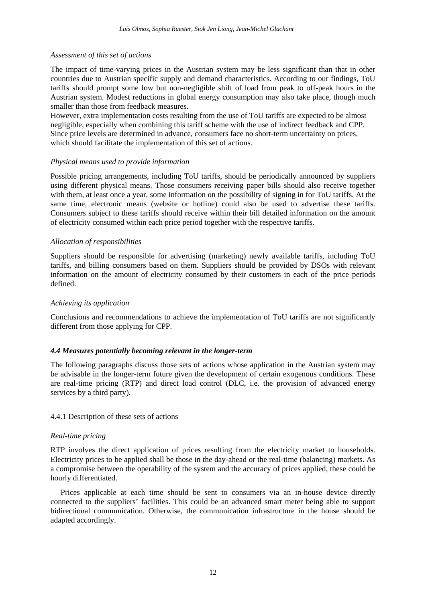# *Assessment of this set of actions*

The impact of time-varying prices in the Austrian system may be less significant than that in other countries due to Austrian specific supply and demand characteristics. According to our findings, ToU tariffs should prompt some low but non-negligible shift of load from peak to off-peak hours in the Austrian system. Modest reductions in global energy consumption may also take place, though much smaller than those from feedback measures.

However, extra implementation costs resulting from the use of ToU tariffs are expected to be almost negligible, especially when combining this tariff scheme with the use of indirect feedback and CPP. Since price levels are determined in advance, consumers face no short-term uncertainty on prices, which should facilitate the implementation of this set of actions.

# *Physical means used to provide information*

Possible pricing arrangements, including ToU tariffs, should be periodically announced by suppliers using different physical means. Those consumers receiving paper bills should also receive together with them, at least once a year, some information on the possibility of signing in for ToU tariffs. At the same time, electronic means (website or hotline) could also be used to advertise these tariffs. Consumers subject to these tariffs should receive within their bill detailed information on the amount of electricity consumed within each price period together with the respective tariffs.

# *Allocation of responsibilities*

Suppliers should be responsible for advertising (marketing) newly available tariffs, including ToU tariffs, and billing consumers based on them. Suppliers should be provided by DSOs with relevant information on the amount of electricity consumed by their customers in each of the price periods defined.

# *Achieving its application*

Conclusions and recommendations to achieve the implementation of ToU tariffs are not significantly different from those applying for CPP.

#### *4.4 Measures potentially becoming relevant in the longer-term*

The following paragraphs discuss those sets of actions whose application in the Austrian system may be advisable in the longer-term future given the development of certain exogenous conditions. These are real-time pricing (RTP) and direct load control (DLC, i.e. the provision of advanced energy services by a third party).

#### 4.4.1 Description of these sets of actions

#### *Real-time pricing*

RTP involves the direct application of prices resulting from the electricity market to households. Electricity prices to be applied shall be those in the day-ahead or the real-time (balancing) markets. As a compromise between the operability of the system and the accuracy of prices applied, these could be hourly differentiated.

Prices applicable at each time should be sent to consumers via an in-house device directly connected to the suppliers' facilities. This could be an advanced smart meter being able to support bidirectional communication. Otherwise, the communication infrastructure in the house should be adapted accordingly.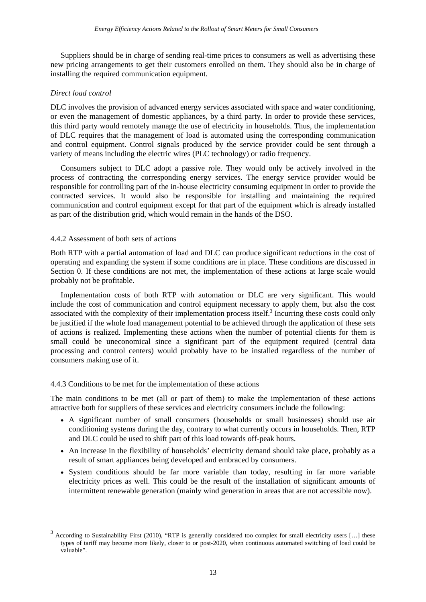Suppliers should be in charge of sending real-time prices to consumers as well as advertising these new pricing arrangements to get their customers enrolled on them. They should also be in charge of installing the required communication equipment.

# *Direct load control*

l

DLC involves the provision of advanced energy services associated with space and water conditioning, or even the management of domestic appliances, by a third party. In order to provide these services, this third party would remotely manage the use of electricity in households. Thus, the implementation of DLC requires that the management of load is automated using the corresponding communication and control equipment. Control signals produced by the service provider could be sent through a variety of means including the electric wires (PLC technology) or radio frequency.

Consumers subject to DLC adopt a passive role. They would only be actively involved in the process of contracting the corresponding energy services. The energy service provider would be responsible for controlling part of the in-house electricity consuming equipment in order to provide the contracted services. It would also be responsible for installing and maintaining the required communication and control equipment except for that part of the equipment which is already installed as part of the distribution grid, which would remain in the hands of the DSO.

#### 4.4.2 Assessment of both sets of actions

Both RTP with a partial automation of load and DLC can produce significant reductions in the cost of operating and expanding the system if some conditions are in place. These conditions are discussed in Section 0. If these conditions are not met, the implementation of these actions at large scale would probably not be profitable.

Implementation costs of both RTP with automation or DLC are very significant. This would include the cost of communication and control equipment necessary to apply them, but also the cost associated with the complexity of their implementation process itself. $3$  Incurring these costs could only be justified if the whole load management potential to be achieved through the application of these sets of actions is realized. Implementing these actions when the number of potential clients for them is small could be uneconomical since a significant part of the equipment required (central data processing and control centers) would probably have to be installed regardless of the number of consumers making use of it.

#### 4.4.3 Conditions to be met for the implementation of these actions

The main conditions to be met (all or part of them) to make the implementation of these actions attractive both for suppliers of these services and electricity consumers include the following:

- A significant number of small consumers (households or small businesses) should use air conditioning systems during the day, contrary to what currently occurs in households. Then, RTP and DLC could be used to shift part of this load towards off-peak hours.
- An increase in the flexibility of households' electricity demand should take place, probably as a result of smart appliances being developed and embraced by consumers.
- System conditions should be far more variable than today, resulting in far more variable electricity prices as well. This could be the result of the installation of significant amounts of intermittent renewable generation (mainly wind generation in areas that are not accessible now).

 $3$  According to Sustainability First (2010), "RTP is generally considered too complex for small electricity users [...] these types of tariff may become more likely, closer to or post-2020, when continuous automated switching of load could be valuable".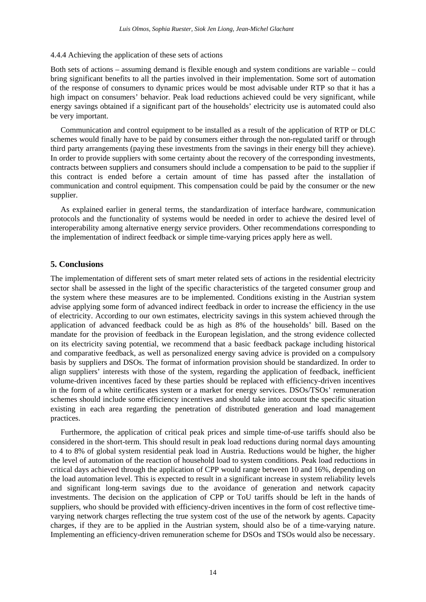#### 4.4.4 Achieving the application of these sets of actions

Both sets of actions – assuming demand is flexible enough and system conditions are variable – could bring significant benefits to all the parties involved in their implementation. Some sort of automation of the response of consumers to dynamic prices would be most advisable under RTP so that it has a high impact on consumers' behavior. Peak load reductions achieved could be very significant, while energy savings obtained if a significant part of the households' electricity use is automated could also be very important.

Communication and control equipment to be installed as a result of the application of RTP or DLC schemes would finally have to be paid by consumers either through the non-regulated tariff or through third party arrangements (paying these investments from the savings in their energy bill they achieve). In order to provide suppliers with some certainty about the recovery of the corresponding investments, contracts between suppliers and consumers should include a compensation to be paid to the supplier if this contract is ended before a certain amount of time has passed after the installation of communication and control equipment. This compensation could be paid by the consumer or the new supplier.

As explained earlier in general terms, the standardization of interface hardware, communication protocols and the functionality of systems would be needed in order to achieve the desired level of interoperability among alternative energy service providers. Other recommendations corresponding to the implementation of indirect feedback or simple time-varying prices apply here as well.

# **5. Conclusions**

The implementation of different sets of smart meter related sets of actions in the residential electricity sector shall be assessed in the light of the specific characteristics of the targeted consumer group and the system where these measures are to be implemented. Conditions existing in the Austrian system advise applying some form of advanced indirect feedback in order to increase the efficiency in the use of electricity. According to our own estimates, electricity savings in this system achieved through the application of advanced feedback could be as high as 8% of the households' bill. Based on the mandate for the provision of feedback in the European legislation, and the strong evidence collected on its electricity saving potential, we recommend that a basic feedback package including historical and comparative feedback, as well as personalized energy saving advice is provided on a compulsory basis by suppliers and DSOs. The format of information provision should be standardized. In order to align suppliers' interests with those of the system, regarding the application of feedback, inefficient volume-driven incentives faced by these parties should be replaced with efficiency-driven incentives in the form of a white certificates system or a market for energy services. DSOs/TSOs' remuneration schemes should include some efficiency incentives and should take into account the specific situation existing in each area regarding the penetration of distributed generation and load management practices.

Furthermore, the application of critical peak prices and simple time-of-use tariffs should also be considered in the short-term. This should result in peak load reductions during normal days amounting to 4 to 8% of global system residential peak load in Austria. Reductions would be higher, the higher the level of automation of the reaction of household load to system conditions. Peak load reductions in critical days achieved through the application of CPP would range between 10 and 16%, depending on the load automation level. This is expected to result in a significant increase in system reliability levels and significant long-term savings due to the avoidance of generation and network capacity investments. The decision on the application of CPP or ToU tariffs should be left in the hands of suppliers, who should be provided with efficiency-driven incentives in the form of cost reflective timevarying network charges reflecting the true system cost of the use of the network by agents. Capacity charges, if they are to be applied in the Austrian system, should also be of a time-varying nature. Implementing an efficiency-driven remuneration scheme for DSOs and TSOs would also be necessary.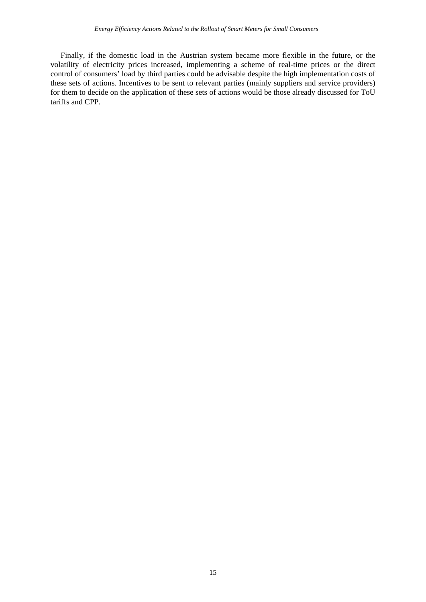Finally, if the domestic load in the Austrian system became more flexible in the future, or the volatility of electricity prices increased, implementing a scheme of real-time prices or the direct control of consumers' load by third parties could be advisable despite the high implementation costs of these sets of actions. Incentives to be sent to relevant parties (mainly suppliers and service providers) for them to decide on the application of these sets of actions would be those already discussed for ToU tariffs and CPP.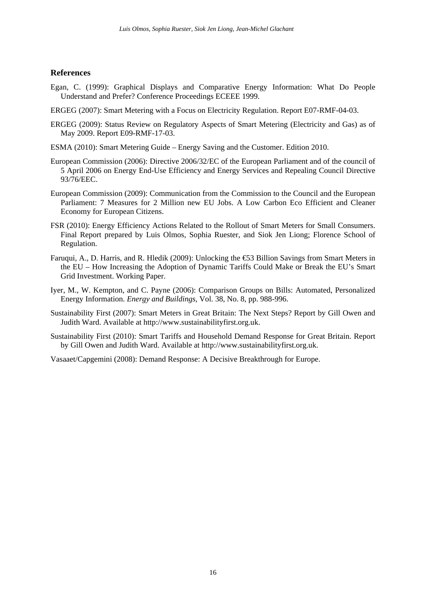#### **References**

- Egan, C. (1999): Graphical Displays and Comparative Energy Information: What Do People Understand and Prefer? Conference Proceedings ECEEE 1999.
- ERGEG (2007): Smart Metering with a Focus on Electricity Regulation. Report E07-RMF-04-03.
- ERGEG (2009): Status Review on Regulatory Aspects of Smart Metering (Electricity and Gas) as of May 2009. Report E09-RMF-17-03.
- ESMA (2010): Smart Metering Guide Energy Saving and the Customer. Edition 2010.
- European Commission (2006): Directive 2006/32/EC of the European Parliament and of the council of 5 April 2006 on Energy End-Use Efficiency and Energy Services and Repealing Council Directive 93/76/EEC.
- European Commission (2009): Communication from the Commission to the Council and the European Parliament: 7 Measures for 2 Million new EU Jobs. A Low Carbon Eco Efficient and Cleaner Economy for European Citizens.
- FSR (2010): Energy Efficiency Actions Related to the Rollout of Smart Meters for Small Consumers. Final Report prepared by Luis Olmos, Sophia Ruester, and Siok Jen Liong; Florence School of Regulation.
- Faruqui, A., D. Harris, and R. Hledik (2009): Unlocking the €53 Billion Savings from Smart Meters in the EU – How Increasing the Adoption of Dynamic Tariffs Could Make or Break the EU's Smart Grid Investment. Working Paper.
- Iyer, M., W. Kempton, and C. Payne (2006): Comparison Groups on Bills: Automated, Personalized Energy Information. *Energy and Buildings*, Vol. 38, No. 8, pp. 988-996.
- Sustainability First (2007): Smart Meters in Great Britain: The Next Steps? Report by Gill Owen and Judith Ward. Available at [http://www.sustainabilityfirst.org.uk.](http://www.sustainabilityfirst.org.uk)
- Sustainability First (2010): Smart Tariffs and Household Demand Response for Great Britain. Report by Gill Owen and Judith Ward. Available at [http://www.sustainabilityfirst.org.uk.](http://www.sustainabilityfirst.org.uk)
- Vasaaet/Capgemini (2008): Demand Response: A Decisive Breakthrough for Europe.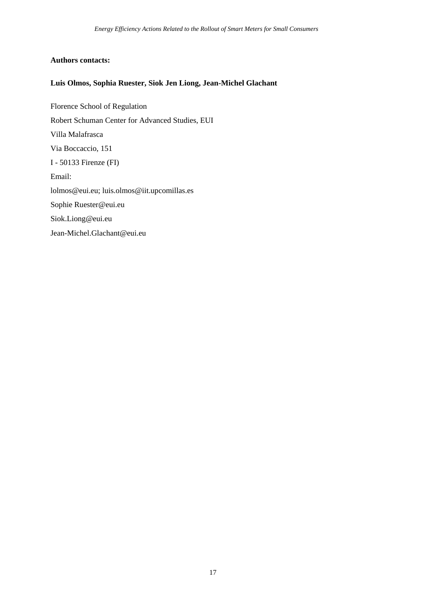# **Authors contacts:**

# **Luis Olmos, Sophia Ruester, Siok Jen Liong, Jean-Michel Glachant**

Florence School of Regulation Robert Schuman Center for Advanced Studies, EUI Villa Malafrasca Via Boccaccio, 151 I - 50133 Firenze (FI) Email: [lolmos@eui.eu;](mailto:lolmos@eui.eu) [luis.olmos@iit.upcomillas.es](mailto:luis.olmos@iit.upcomillas.es)  Sophie [Ruester@eui.eu](mailto:Ruester@eui.eu)  [Siok.Liong@eui.eu](mailto:Siok.Liong@eui.eu)  [Jean-Michel.Glachant@eui.eu](mailto:Jean-Michel.Glachant@eui.eu)